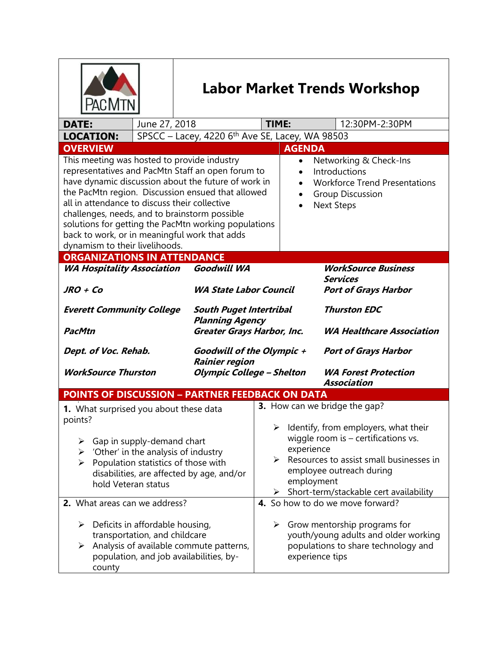|                                                                                                                                                                                                                                                                                                                                                                                                                                                                                                                                                                                                                                                  |               | <b>Labor Market Trends Workshop</b>                                                                                                                                                                                                                   |                                                                                                                                                 |                                            |                             |                |  |  |
|--------------------------------------------------------------------------------------------------------------------------------------------------------------------------------------------------------------------------------------------------------------------------------------------------------------------------------------------------------------------------------------------------------------------------------------------------------------------------------------------------------------------------------------------------------------------------------------------------------------------------------------------------|---------------|-------------------------------------------------------------------------------------------------------------------------------------------------------------------------------------------------------------------------------------------------------|-------------------------------------------------------------------------------------------------------------------------------------------------|--------------------------------------------|-----------------------------|----------------|--|--|
| <b>DATE:</b>                                                                                                                                                                                                                                                                                                                                                                                                                                                                                                                                                                                                                                     | June 27, 2018 |                                                                                                                                                                                                                                                       | TIME:                                                                                                                                           |                                            |                             | 12:30PM-2:30PM |  |  |
| SPSCC - Lacey, 4220 6th Ave SE, Lacey, WA 98503<br><b>LOCATION:</b>                                                                                                                                                                                                                                                                                                                                                                                                                                                                                                                                                                              |               |                                                                                                                                                                                                                                                       |                                                                                                                                                 |                                            |                             |                |  |  |
| <b>OVERVIEW</b>                                                                                                                                                                                                                                                                                                                                                                                                                                                                                                                                                                                                                                  |               |                                                                                                                                                                                                                                                       |                                                                                                                                                 | <b>AGENDA</b>                              |                             |                |  |  |
| This meeting was hosted to provide industry<br>Networking & Check-Ins<br>$\bullet$<br>representatives and PacMtn Staff an open forum to<br>Introductions<br>$\bullet$<br>have dynamic discussion about the future of work in<br><b>Workforce Trend Presentations</b><br>the PacMtn region. Discussion ensued that allowed<br><b>Group Discussion</b><br>$\bullet$<br>all in attendance to discuss their collective<br><b>Next Steps</b><br>$\bullet$<br>challenges, needs, and to brainstorm possible<br>solutions for getting the PacMtn working populations<br>back to work, or in meaningful work that adds<br>dynamism to their livelihoods. |               |                                                                                                                                                                                                                                                       |                                                                                                                                                 |                                            |                             |                |  |  |
| <b>ORGANIZATIONS IN ATTENDANCE</b>                                                                                                                                                                                                                                                                                                                                                                                                                                                                                                                                                                                                               |               |                                                                                                                                                                                                                                                       |                                                                                                                                                 |                                            |                             |                |  |  |
| <b>Goodwill WA</b><br><b>WA Hospitality Association</b><br>JRO + Co<br><b>WA State Labor Council</b>                                                                                                                                                                                                                                                                                                                                                                                                                                                                                                                                             |               |                                                                                                                                                                                                                                                       | <b>WorkSource Business</b><br><b>Services</b><br><b>Port of Grays Harbor</b>                                                                    |                                            |                             |                |  |  |
| <b>Everett Community College</b><br><b>PacMtn</b>                                                                                                                                                                                                                                                                                                                                                                                                                                                                                                                                                                                                |               | <b>South Puget Intertribal</b><br><b>Planning Agency</b><br>Greater Grays Harbor, Inc.                                                                                                                                                                | <b>Thurston EDC</b><br><b>WA Healthcare Association</b>                                                                                         |                                            |                             |                |  |  |
| Dept. of Voc. Rehab.                                                                                                                                                                                                                                                                                                                                                                                                                                                                                                                                                                                                                             |               | Goodwill of the Olympic +<br><b>Rainier region</b>                                                                                                                                                                                                    |                                                                                                                                                 |                                            | <b>Port of Grays Harbor</b> |                |  |  |
| <b>WorkSource Thurston</b>                                                                                                                                                                                                                                                                                                                                                                                                                                                                                                                                                                                                                       |               | <b>Olympic College - Shelton</b>                                                                                                                                                                                                                      |                                                                                                                                                 | <b>WA Forest Protection</b><br>Association |                             |                |  |  |
| <b>POINTS OF DISCUSSION - PARTNER FEEDBACK ON DATA</b>                                                                                                                                                                                                                                                                                                                                                                                                                                                                                                                                                                                           |               |                                                                                                                                                                                                                                                       |                                                                                                                                                 |                                            |                             |                |  |  |
| 1. What surprised you about these data<br>points?                                                                                                                                                                                                                                                                                                                                                                                                                                                                                                                                                                                                |               |                                                                                                                                                                                                                                                       | <b>3.</b> How can we bridge the gap?                                                                                                            |                                            |                             |                |  |  |
| $\triangleright$ Gap in supply-demand chart<br>'Other' in the analysis of industry<br>≻<br>Population statistics of those with<br>➤<br>disabilities, are affected by age, and/or<br>hold Veteran status                                                                                                                                                                                                                                                                                                                                                                                                                                          |               | $\triangleright$ Identify, from employers, what their<br>wiggle room is $-$ certifications vs.<br>experience<br>Resources to assist small businesses in<br>≻<br>employee outreach during<br>employment<br>Short-term/stackable cert availability<br>≻ |                                                                                                                                                 |                                            |                             |                |  |  |
| 2. What areas can we address?                                                                                                                                                                                                                                                                                                                                                                                                                                                                                                                                                                                                                    |               |                                                                                                                                                                                                                                                       | 4. So how to do we move forward?                                                                                                                |                                            |                             |                |  |  |
| $\triangleright$ Deficits in affordable housing,<br>transportation, and childcare<br>Analysis of available commute patterns,<br>➤<br>population, and job availabilities, by-<br>county                                                                                                                                                                                                                                                                                                                                                                                                                                                           |               |                                                                                                                                                                                                                                                       | $\triangleright$ Grow mentorship programs for<br>youth/young adults and older working<br>populations to share technology and<br>experience tips |                                            |                             |                |  |  |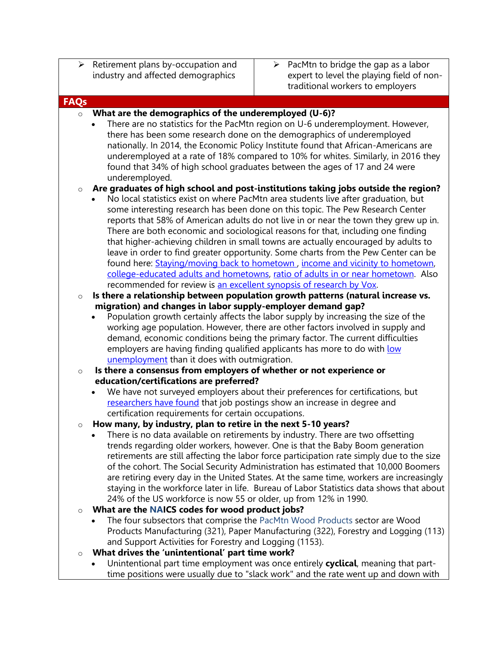- $\triangleright$  Retirement plans by-occupation and industry and affected demographics
- $\triangleright$  PacMtn to bridge the gap as a labor expert to level the playing field of nontraditional workers to employers

#### **FAQs**

## o **What are the demographics of the underemployed (U-6)?**

 There are no statistics for the PacMtn region on U-6 underemployment. However, there has been some research done on the demographics of underemployed nationally. In 2014, the Economic Policy Institute found that African-Americans are underemployed at a rate of 18% compared to 10% for whites. Similarly, in 2016 they found that 34% of high school graduates between the ages of 17 and 24 were underemployed.

## o **Are graduates of high school and post-institutions taking jobs outside the region?**

- No local statistics exist on where PacMtn area students live after graduation, but some interesting research has been done on this topic. The Pew Research Center reports that 58% of American adults do not live in or near the town they grew up in. There are both economic and sociological reasons for that, including one finding that higher-achieving children in small towns are actually encouraged by adults to leave in order to find greater opportunity. Some charts from the Pew Center can be found here: [Staying/moving back to hometown](https://pacmtn.org/wp-content/uploads/2018/07/Pew-why-stay-in-community.png), income and vicinity to hometown, [college-educated adults and hometowns,](https://pacmtn.org/wp-content/uploads/2018/07/Pew-college-live-where-grew-up.png) [ratio of adults in or near hometown.](https://pacmtn.org/wp-content/uploads/2018/07/Pew-live-where-grew-up.png) Also recommended for review is an excellent [synopsis of research by Vox.](https://www.vox.com/policy-and-politics/2017/6/15/15757708/hometown-stay-leave)
- o **Is there a relationship between population growth patterns (natural increase vs. migration) and changes in labor supply-employer demand gap?**
	- Population growth certainly affects the labor supply by increasing the size of the working age population. However, there are other factors involved in supply and demand, economic conditions being the primary factor. The current difficulties employers are having finding qualified applicants has more to do with low [unemployment](https://www.dol.gov/oasam/programs/history/herman/reports/futurework/conference/trends/trendsV.htm) than it does with outmigration.
- o **Is there a consensus from employers of whether or not experience or education/certifications are preferred?**
	- We have not surveyed employers about their preferences for certifications, but [researchers have found](https://www.google.com/url?sa=t&rct=j&q=&esrc=s&source=web&cd=1&ved=2ahUKEwjS66TWibncAhWWHzQIHY5lAMoQFjAAegQIABAC&url=https%3A%2F%2Fwww.hbs.edu%2Fmanaging-the-future-of-work%2FDocuments%2Fdismissed-by-degrees.pdf&usg=AOvVaw0YQG-OD06OlTJ8OO9OS5ky) that job postings show an increase in degree and certification requirements for certain occupations.
- o **How many, by industry, plan to retire in the next 5-10 years?**
	- There is no data available on retirements by industry. There are two offsetting trends regarding older workers, however. One is that the Baby Boom generation retirements are still affecting the labor force participation rate simply due to the size of the cohort. The Social Security Administration has estimated that 10,000 Boomers are retiring every day in the United States. At the same time, workers are increasingly staying in the workforce later in life. Bureau of Labor Statistics data shows that about 24% of the US workforce is now 55 or older, up from 12% in 1990.

#### o **What are the NAICS codes for wood product jobs?**

- The four subsectors that comprise the PacMtn Wood Products sector are Wood Products Manufacturing (321), Paper Manufacturing (322), Forestry and Logging (113) and Support Activities for Forestry and Logging (1153).
- o **What drives the 'unintentional' part time work?**
	- Unintentional part time employment was once entirely **cyclical**, meaning that parttime positions were usually due to "slack work" and the rate went up and down with